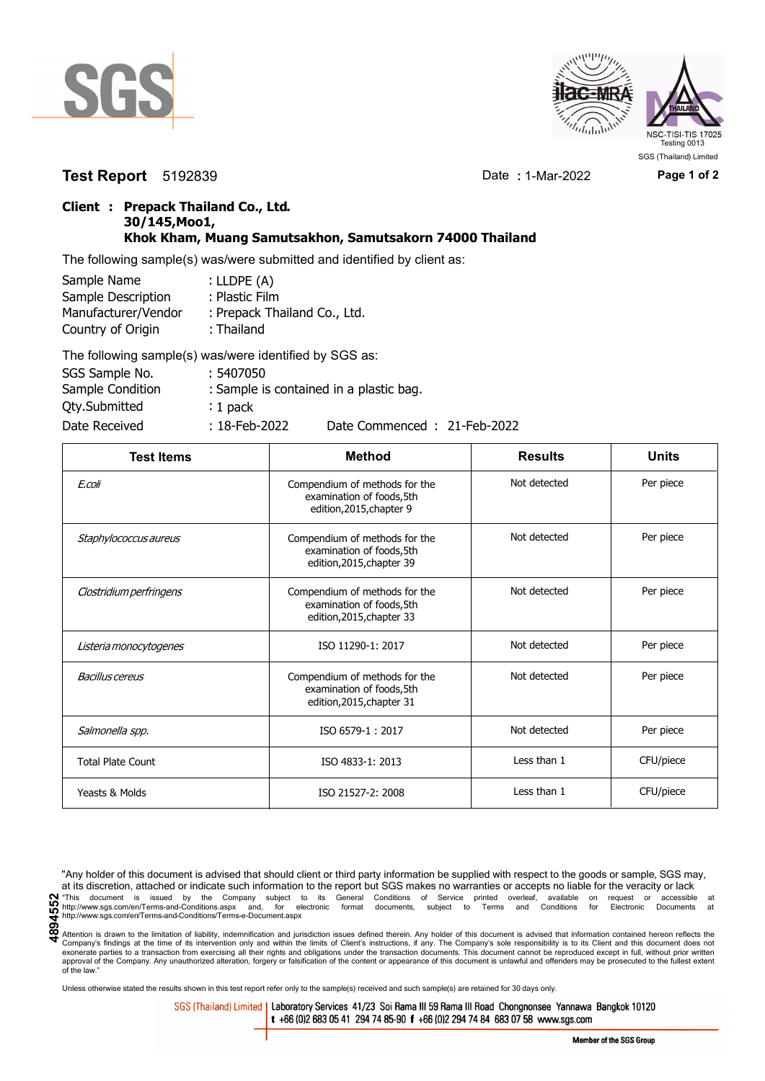



**Test Report** 5192839 Date **:** 1-Mar-2022 **Page 1 of 2**

## **Client : Prepack Thailand Co., Ltd. 30/145,Moo1, Khok Kham, Muang Samutsakhon, Samutsakorn 74000 Thailand**

The following sample(s) was/were submitted and identified by client as:

| Sample Name         | : $LIDPE(A)$                 |  |  |
|---------------------|------------------------------|--|--|
| Sample Description  | : Plastic Film               |  |  |
| Manufacturer/Vendor | : Prepack Thailand Co., Ltd. |  |  |
| Country of Origin   | : Thailand                   |  |  |
|                     |                              |  |  |

| The following sample(s) was/were identified by SGS as: |                  |                                         |
|--------------------------------------------------------|------------------|-----------------------------------------|
| SGS Sample No.                                         | : 5407050        |                                         |
| Sample Condition                                       |                  | : Sample is contained in a plastic bag. |
| <b>Qty.Submitted</b>                                   | $: 1$ pack       |                                         |
| Date Received                                          | $: 18$ -Feb-2022 | Date Commenced: 21-Feb-2022             |

| <b>Test Items</b>        | <b>Method</b>                                                                           | <b>Results</b> | <b>Units</b> |
|--------------------------|-----------------------------------------------------------------------------------------|----------------|--------------|
| E.coli                   | Compendium of methods for the<br>examination of foods,5th<br>edition, 2015, chapter 9   | Not detected   | Per piece    |
| Staphylococcus aureus    | Compendium of methods for the<br>examination of foods, 5th<br>edition, 2015, chapter 39 | Not detected   | Per piece    |
| Clostridium perfringens  | Compendium of methods for the<br>examination of foods, 5th<br>edition, 2015, chapter 33 | Not detected   | Per piece    |
| Listeria monocytogenes   | ISO 11290-1: 2017                                                                       | Not detected   | Per piece    |
| <b>Bacillus cereus</b>   | Compendium of methods for the<br>examination of foods, 5th<br>edition, 2015, chapter 31 | Not detected   | Per piece    |
| Salmonella spp.          | ISO 6579-1:2017                                                                         | Not detected   | Per piece    |
| <b>Total Plate Count</b> | ISO 4833-1: 2013                                                                        | Less than 1    | CFU/piece    |
| Yeasts & Molds           | ISO 21527-2: 2008                                                                       | Less than 1    | CFU/piece    |

"Any holder of this document is advised that should client or third party information be supplied with respect to the goods or sample, SGS may, at its discretion, attached or indicate such information to the report but SGS makes no warranties or accepts no liable for the veracity or lack **Comment** is issued by the Company subject to its General Conditions of Service printed overleaf, available on request or accessible at the enterprison of the company subject to its General Conditions of Service printed o http://www.sgs.com/en/Terms-and-Conditions/Terms-e-Document.aspx

Attention is drawn to the limitation of liability, indemnification and jurisdiction issues defined therein. Any holder of this document is advised that information contained hereon reflects the Company's findings at the time of its intervention only and within the limits of Client's instructions, if any. The Company's sole responsibility is to its Client and this document does not<br>exonerate parties to a transacti approval of the Company. Any unauthorized alteration, forgery or falsification of the content or appearance of this document is unlawful and offenders may be prosecuted to the fullest extent approval of the Company. Any un of the law."

Unless otherwise stated the results shown in this test report refer only to the sample(s) received and such sample(s) are retained for 30 days only.

SGS (Thailand) Limited | Laboratory Services 41/23 Soi Rama III 59 Rama III Road Chongnonsee Yannawa Bangkok 10120 t +66 (0)2 683 05 41 294 74 85-90 f +66 (0)2 294 74 84 683 07 58 www.sgs.com